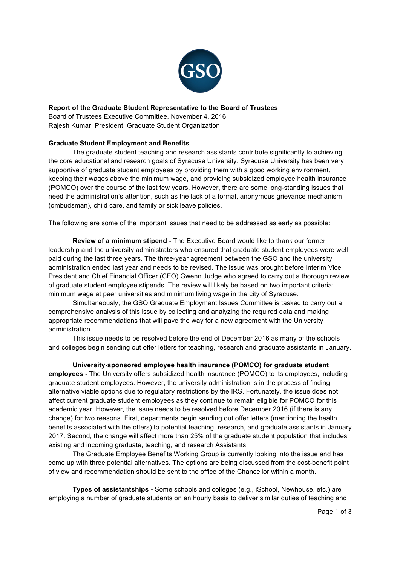

# **Report of the Graduate Student Representative to the Board of Trustees**

Board of Trustees Executive Committee, November 4, 2016 Rajesh Kumar, President, Graduate Student Organization

# **Graduate Student Employment and Benefits**

The graduate student teaching and research assistants contribute significantly to achieving the core educational and research goals of Syracuse University. Syracuse University has been very supportive of graduate student employees by providing them with a good working environment, keeping their wages above the minimum wage, and providing subsidized employee health insurance (POMCO) over the course of the last few years. However, there are some long-standing issues that need the administration's attention, such as the lack of a formal, anonymous grievance mechanism (ombudsman), child care, and family or sick leave policies.

The following are some of the important issues that need to be addressed as early as possible:

**Review of a minimum stipend -** The Executive Board would like to thank our former leadership and the university administrators who ensured that graduate student employees were well paid during the last three years. The three-year agreement between the GSO and the university administration ended last year and needs to be revised. The issue was brought before Interim Vice President and Chief Financial Officer (CFO) Gwenn Judge who agreed to carry out a thorough review of graduate student employee stipends. The review will likely be based on two important criteria: minimum wage at peer universities and minimum living wage in the city of Syracuse.

Simultaneously, the GSO Graduate Employment Issues Committee is tasked to carry out a comprehensive analysis of this issue by collecting and analyzing the required data and making appropriate recommendations that will pave the way for a new agreement with the University administration.

This issue needs to be resolved before the end of December 2016 as many of the schools and colleges begin sending out offer letters for teaching, research and graduate assistants in January.

**University-sponsored employee health insurance (POMCO) for graduate student employees -** The University offers subsidized health insurance (POMCO) to its employees, including graduate student employees. However, the university administration is in the process of finding alternative viable options due to regulatory restrictions by the IRS. Fortunately, the issue does not affect current graduate student employees as they continue to remain eligible for POMCO for this academic year. However, the issue needs to be resolved before December 2016 (if there is any change) for two reasons. First, departments begin sending out offer letters (mentioning the health benefits associated with the offers) to potential teaching, research, and graduate assistants in January 2017. Second, the change will affect more than 25% of the graduate student population that includes existing and incoming graduate, teaching, and research Assistants.

The Graduate Employee Benefits Working Group is currently looking into the issue and has come up with three potential alternatives. The options are being discussed from the cost-benefit point of view and recommendation should be sent to the office of the Chancellor within a month.

**Types of assistantships -** Some schools and colleges (e.g., iSchool, Newhouse, etc.) are employing a number of graduate students on an hourly basis to deliver similar duties of teaching and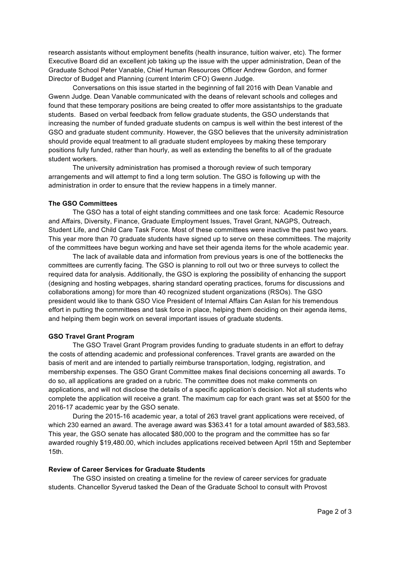research assistants without employment benefits (health insurance, tuition waiver, etc). The former Executive Board did an excellent job taking up the issue with the upper administration, Dean of the Graduate School Peter Vanable, Chief Human Resources Officer Andrew Gordon, and former Director of Budget and Planning (current Interim CFO) Gwenn Judge.

Conversations on this issue started in the beginning of fall 2016 with Dean Vanable and Gwenn Judge. Dean Vanable communicated with the deans of relevant schools and colleges and found that these temporary positions are being created to offer more assistantships to the graduate students. Based on verbal feedback from fellow graduate students, the GSO understands that increasing the number of funded graduate students on campus is well within the best interest of the GSO and graduate student community. However, the GSO believes that the university administration should provide equal treatment to all graduate student employees by making these temporary positions fully funded, rather than hourly, as well as extending the benefits to all of the graduate student workers.

The university administration has promised a thorough review of such temporary arrangements and will attempt to find a long term solution. The GSO is following up with the administration in order to ensure that the review happens in a timely manner.

# **The GSO Committees**

The GSO has a total of eight standing committees and one task force: Academic Resource and Affairs, Diversity, Finance, Graduate Employment Issues, Travel Grant, NAGPS, Outreach, Student Life, and Child Care Task Force. Most of these committees were inactive the past two years. This year more than 70 graduate students have signed up to serve on these committees. The majority of the committees have begun working and have set their agenda items for the whole academic year.

The lack of available data and information from previous years is one of the bottlenecks the committees are currently facing. The GSO is planning to roll out two or three surveys to collect the required data for analysis. Additionally, the GSO is exploring the possibility of enhancing the support (designing and hosting webpages, sharing standard operating practices, forums for discussions and collaborations among) for more than 40 recognized student organizations (RSOs). The GSO president would like to thank GSO Vice President of Internal Affairs Can Aslan for his tremendous effort in putting the committees and task force in place, helping them deciding on their agenda items, and helping them begin work on several important issues of graduate students.

# **GSO Travel Grant Program**

The GSO Travel Grant Program provides funding to graduate students in an effort to defray the costs of attending academic and professional conferences. Travel grants are awarded on the basis of merit and are intended to partially reimburse transportation, lodging, registration, and membership expenses. The GSO Grant Committee makes final decisions concerning all awards. To do so, all applications are graded on a rubric. The committee does not make comments on applications, and will not disclose the details of a specific application's decision. Not all students who complete the application will receive a grant. The maximum cap for each grant was set at \$500 for the 2016-17 academic year by the GSO senate.

During the 2015-16 academic year, a total of 263 travel grant applications were received, of which 230 earned an award. The average award was \$363.41 for a total amount awarded of \$83,583. This year, the GSO senate has allocated \$80,000 to the program and the committee has so far awarded roughly \$19,480.00, which includes applications received between April 15th and September 15th.

## **Review of Career Services for Graduate Students**

The GSO insisted on creating a timeline for the review of career services for graduate students. Chancellor Syverud tasked the Dean of the Graduate School to consult with Provost